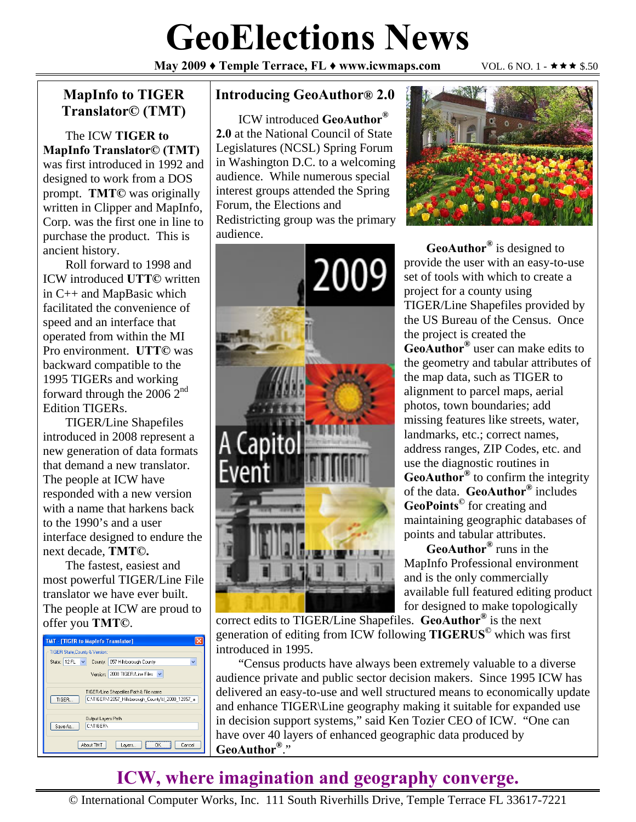# **GeoElections News**

**May 2009 ♦ Temple Terrace, FL ♦ www.icwmaps.com VOL. 6 NO. 1 - ★★★ \$.50** 

### **MapInfo to TIGER Translator© (TMT)**

The ICW **TIGER to MapInfo Translator© (TMT)**  was first introduced in 1992 and designed to work from a DOS prompt. **TMT©** was originally written in Clipper and MapInfo, Corp. was the first one in line to purchase the product. This is ancient history.

Roll forward to 1998 and ICW introduced **UTT©** written in C++ and MapBasic which facilitated the convenience of speed and an interface that operated from within the MI Pro environment. **UTT©** was backward compatible to the 1995 TIGERs and working forward through the 2006 2nd Edition TIGERs.

TIGER/Line Shapefiles introduced in 2008 represent a new generation of data formats that demand a new translator. The people at ICW have responded with a new version with a name that harkens back to the 1990's and a user interface designed to endure the next decade, **TMT©.**

The fastest, easiest and most powerful TIGER/Line File translator we have ever built. The people at ICW are proud to offer you **TMT©**.

| <b>TMT - [TIGER to MapInfo Translator]</b>                                                            |
|-------------------------------------------------------------------------------------------------------|
| <b>TIGER State.County &amp; Version:</b>                                                              |
| $\checkmark$<br>State: 12 FL<br>County:<br>057 Hillsborough County<br>$\checkmark$                    |
| 2008 TIGER/Line Files<br>Version:                                                                     |
| TIGER/Line Shapefiles Path & File name<br>C:\TIGER\12057 Hillsborough County\tl 2008 12057 a<br>TIGER |
| Output Layers Path<br>CATIGERA<br>Save As                                                             |
| About TMT<br>Cancel<br><b>OK</b><br>Layers                                                            |

#### **Introducing GeoAuthor® 2.0**

ICW introduced **GeoAuthor® 2.0** at the National Council of State Legislatures (NCSL) Spring Forum in Washington D.C. to a welcoming audience. While numerous special interest groups attended the Spring Forum, the Elections and Redistricting group was the primary audience.





**GeoAuthor®** is designed to provide the user with an easy-to-use set of tools with which to create a project for a county using TIGER/Line Shapefiles provided by the US Bureau of the Census. Once the project is created the **GeoAuthor®** user can make edits to the geometry and tabular attributes of the map data, such as TIGER to alignment to parcel maps, aerial photos, town boundaries; add missing features like streets, water, landmarks, etc.; correct names, address ranges, ZIP Codes, etc. and use the diagnostic routines in **GeoAuthor®** to confirm the integrity of the data. **GeoAuthor®** includes **GeoPoints©** for creating and maintaining geographic databases of points and tabular attributes.

**GeoAuthor®** runs in the MapInfo Professional environment and is the only commercially available full featured editing product for designed to make topologically

correct edits to TIGER/Line Shapefiles. **GeoAuthor®** is the next generation of editing from ICW following **TIGERUS©** which was first introduced in 1995.

"Census products have always been extremely valuable to a diverse audience private and public sector decision makers. Since 1995 ICW has delivered an easy-to-use and well structured means to economically update and enhance TIGER\Line geography making it suitable for expanded use in decision support systems," said Ken Tozier CEO of ICW. "One can have over 40 layers of enhanced geographic data produced by **GeoAuthor®**."

## **ICW, where imagination and geography converge.**